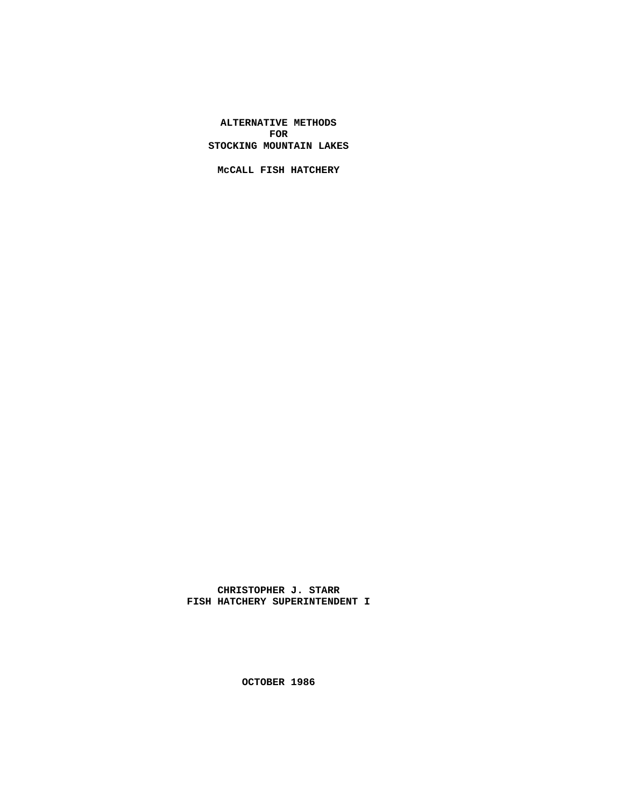**ALTERNATIVE METHODS FOR STOCKING MOUNTAIN LAKES**

**McCALL FISH HATCHERY**

**CHRISTOPHER J. STARR FISH HATCHERY SUPERINTENDENT I**

**OCTOBER 1986**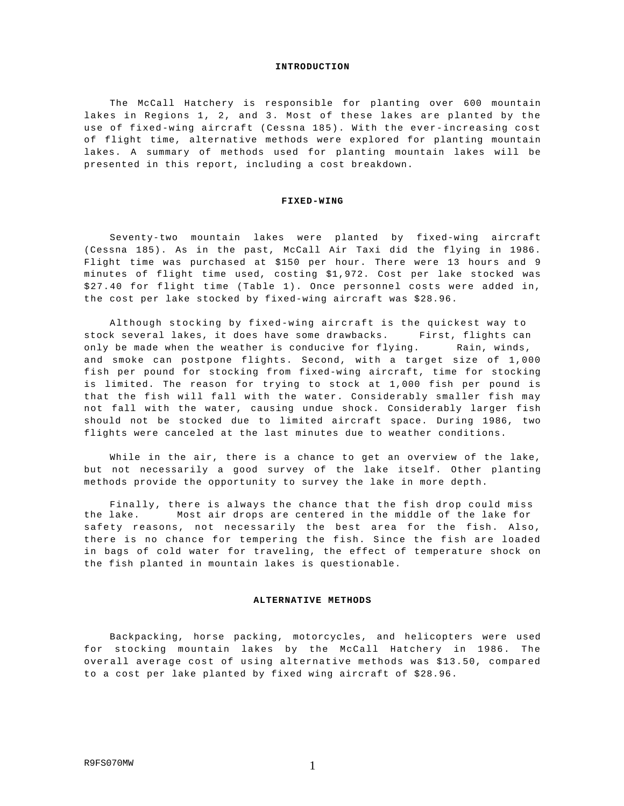#### **INTRODUCTION**

The McCall Hatchery is responsible for planting over 600 mountain lakes in Regions 1, 2, and 3. Most of these lakes are planted by the use of fixed-wing aircraft (Cessna 185). With the ever-increasing cost of flight time, alternative methods were explored for planting mountain lakes. A summary of methods used for planting mountain lakes will be presented in this report, including a cost breakdown.

#### **FIXED-WING**

Seventy-two mountain lakes were planted by fixed-wing aircraft (Cessna 185). As in the past, McCall Air Taxi did the flying in 1986. Flight time was purchased at \$150 per hour. There were 13 hours and 9 minutes of flight time used, costing \$1,972. Cost per lake stocked was \$27.40 for flight time (Table 1). Once personnel costs were added in, the cost per lake stocked by fixed-wing aircraft was \$28.96.

Although stocking by fixed-wing aircraft is the quickest way to stock several lakes, it does have some drawbacks. First, flights can only be made when the weather is conducive for flying. Rain, winds, and smoke can postpone flights. Second, with a target size of 1,000 fish per pound for stocking from fixed-wing aircraft, time for stocking is limited. The reason for trying to stock at 1,000 fish per pound is that the fish will fall with the water. Considerably smaller fish may not fall with the water, causing undue shock. Considerably larger fish should not be stocked due to limited aircraft space. During 1986, two flights were canceled at the last minutes due to weather conditions.

While in the air, there is a chance to get an overview of the lake, but not necessarily a good survey of the lake itself. Other planting methods provide the opportunity to survey the lake in more depth.

Finally, there is always the chance that the fish drop could miss the lake. Most air drops are centered in the middle of the lake for safety reasons, not necessarily the best area for the fish. Also, there is no chance for tempering the fish. Since the fish are loaded in bags of cold water for traveling, the effect of temperature shock on the fish planted in mountain lakes is questionable.

# **ALTERNATIVE METHODS**

Backpacking, horse packing, motorcycles, and helicopters were used for stocking mountain lakes by the McCall Hatchery in 1986. The overall average cost of using alternative methods was \$13.50, compared to a cost per lake planted by fixed wing aircraft of \$28.96.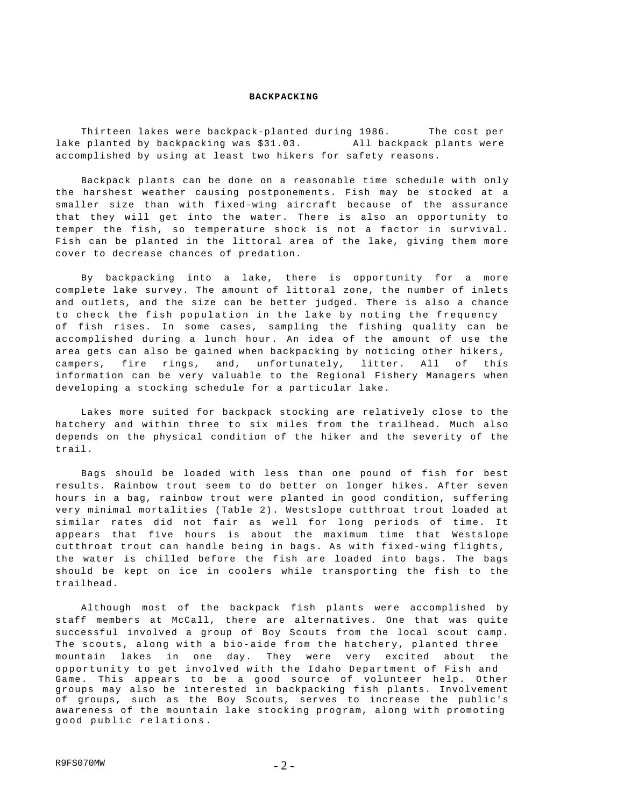### **BACKPACKING**

Thirteen lakes were backpack-planted during 1986. The cost per lake planted by backpacking was \$31.03. All backpack plants were accomplished by using at least two hikers for safety reasons.

Backpack plants can be done on a reasonable time schedule with only the harshest weather causing postponements. Fish may be stocked at a smaller size than with fixed-wing aircraft because of the assurance that they will get into the water. There is also an opportunity to temper the fish, so temperature shock is not a factor in survival. Fish can be planted in the littoral area of the lake, giving them more cover to decrease chances of predation.

By backpacking into a lake, there is opportunity for a more complete lake survey. The amount of littoral zone, the number of inlets and outlets, and the size can be better judged. There is also a chance to check the fish population in the lake by noting the frequency of fish rises. In some cases, sampling the fishing quality can be accomplished during a lunch hour. An idea of the amount of use the area gets can also be gained when backpacking by noticing other hikers , campers, fire rings, and, unfortunately, litter. All of this information can be very valuable to the Regional Fishery Managers when developing a stocking schedule for a particular lake.

Lakes more suited for backpack stocking are relatively close to the hatchery and within three to six miles from the trailhead. Much also depends on the physical condition of the hiker and the severity of the trail.

Bags should be loaded with less than one pound of fish for best results. Rainbow trout seem to do better on longer hikes. After seven hours in a bag, rainbow trout were planted in good condition, suffering very minimal mortalities (Table 2). Westslope cutthroat trout loaded at similar rates did not fair as well for long periods of time. It appears that five hours is about the maximum time that Westslope cutthroat trout can handle being in bags. As with fixed-wing flights, the water is chilled before the fish are loaded into bags. The bags should be kept on ice in coolers while transporting the fish to the trailhead.

Although most of the backpack fish plants were accomplished by staff members at McCall, there are alternatives. One that was quite successful involved a group of Boy Scouts from the local scout camp. The scouts, along with a bio-aide from the hatchery, planted three mountain lakes in one day. They were very excited about the opportunity to get involved with the Idaho Department of Fish and Game. This appears to be a good source of volunteer help. Other groups may also be interested in backpacking fish plants. Involvement of groups, such as the Boy Scouts, serves to increase the public's awareness of the mountain lake stocking program, along with promoting good public relations.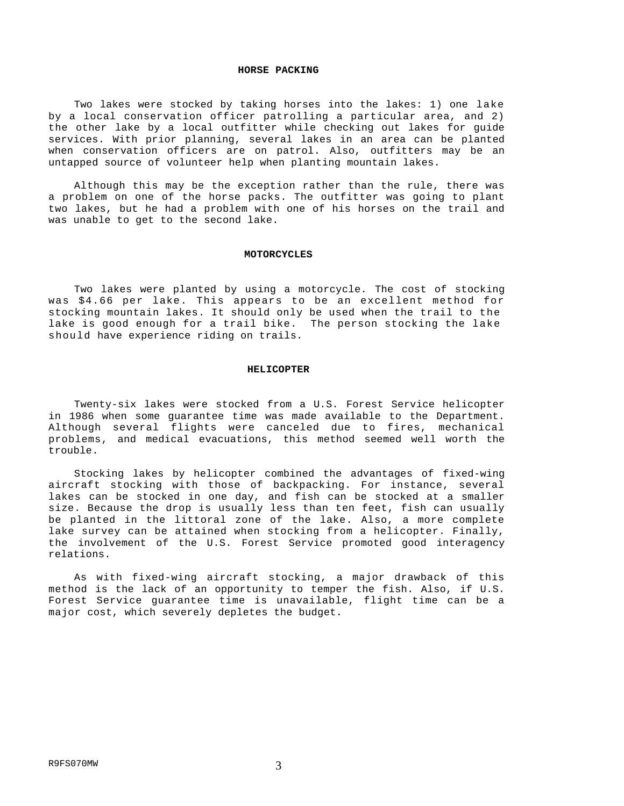## **HORSE PACKING**

Two lakes were stocked by taking horses into the lakes: 1) one lake by a local conservation officer patrolling a particular area, and 2) the other lake by a local outfitter while checking out lakes for guide services. With prior planning, several lakes in an area can be planted when conservation officers are on patrol. Also, outfitters may be an untapped source of volunteer help when planting mountain lakes.

Although this may be the exception rather than the rule, there was a problem on one of the horse packs. The outfitter was going to plant two lakes, but he had a problem with one of his horses on the trail and was unable to get to the second lake.

#### **MOTORCYCLES**

Two lakes were planted by using a motorcycle. The cost of stocking was \$4.66 per lake. This appears to be an excellent method for stocking mountain lakes. It should only be used when the trail to the lake is good enough for a trail bike. The person stocking the lake should have experience riding on trails.

## **HELICOPTER**

Twenty-six lakes were stocked from a U.S. Forest Service helicopter in 1986 when some guarantee time was made available to the Department. Although several flights were canceled due to fires, mechanical problems, and medical evacuations, this method seemed well worth the trouble.

Stocking lakes by helicopter combined the advantages of fixed-wing aircraft stocking with those of backpacking. For instance, several lakes can be stocked in one day, and fish can be stocked at a smaller size. Because the drop is usually less than ten feet, fish can usually be planted in the littoral zone of the lake. Also, a more complete lake survey can be attained when stocking from a helicopter. Finally, the involvement of the U.S. Forest Service promoted good interagency relations.

As with fixed-wing aircraft stocking, a major drawback of this method is the lack of an opportunity to temper the fish. Also, if U.S. Forest Service guarantee time is unavailable, flight time can be a major cost, which severely depletes the budget.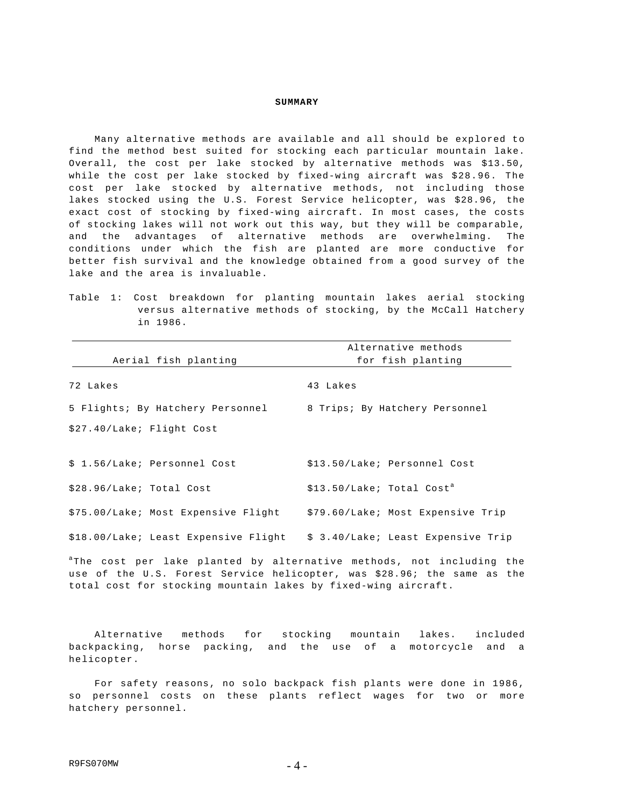## **SUMMARY**

Many alternative methods are available and all should be explored to find the method best suited for stocking each particular mountain lake. Overall, the cost per lake stocked by alternative methods was \$13.50, while the cost per lake stocked by fixed-wing aircraft was \$28.96. The cost per lake stocked by alternative methods, not including those lakes stocked using the U.S. Forest Service helicopter, was \$28.96, the exact cost of stocking by fixed-wing aircraft. In most cases, the costs of stocking lakes will not work out this way, but they will be comparable, and the advantages of alternative methods are overwhelming. The conditions under which the fish are planted are more conductive for better fish survival and the knowledge obtained from a good survey of the lake and the area is invaluable.

Table 1: Cost breakdown for planting mountain lakes aerial stocking versus alternative methods of stocking, by the McCall Hatchery in 1986.

|                                      | Alternative methods                     |  |  |  |  |  |  |
|--------------------------------------|-----------------------------------------|--|--|--|--|--|--|
| Aerial fish planting                 | for fish planting                       |  |  |  |  |  |  |
| 72 Lakes                             | 43 Lakes                                |  |  |  |  |  |  |
| 5 Flights; By Hatchery Personnel     | 8 Trips; By Hatchery Personnel          |  |  |  |  |  |  |
| \$27.40/Lake; Flight Cost            |                                         |  |  |  |  |  |  |
| \$ 1.56/Lake; Personnel Cost         | \$13.50/Lake; Personnel Cost            |  |  |  |  |  |  |
| \$28.96/Lake; Total Cost             | $$13.50/Lake$ ; Total Cost <sup>a</sup> |  |  |  |  |  |  |
| \$75.00/Lake; Most Expensive Flight  | \$79.60/Lake; Most Expensive Trip       |  |  |  |  |  |  |
| \$18.00/Lake; Least Expensive Flight | \$ 3.40/Lake; Least Expensive Trip      |  |  |  |  |  |  |

<sup>a</sup>The cost per lake planted by alternative methods, not including the use of the U.S. Forest Service helicopter, was \$28.96; the same as the total cost for stocking mountain lakes by fixed-wing aircraft.

Alternative methods for stocking mountain lakes. included backpacking, horse packing, and the use of a motorcycle and a helicopter.

For safety reasons, no solo backpack fish plants were done in 1986, so personnel costs on these plants reflect wages for two or more hatchery personnel.